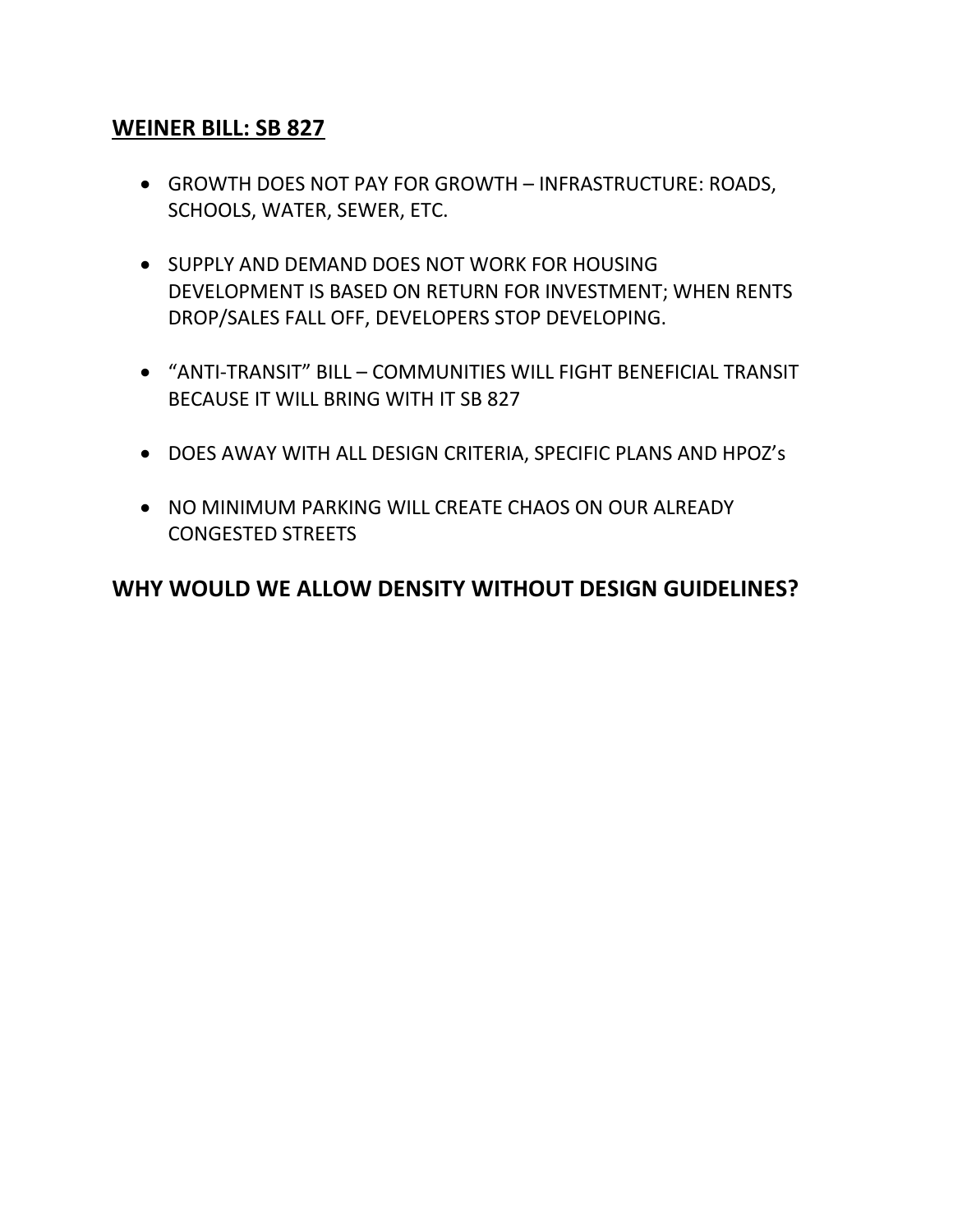## **WEINER BILL: SB 827**

- GROWTH DOES NOT PAY FOR GROWTH INFRASTRUCTURE: ROADS, SCHOOLS, WATER, SEWER, ETC.
- **SUPPLY AND DEMAND DOES NOT WORK FOR HOUSING** DEVELOPMENT IS BASED ON RETURN FOR INVESTMENT; WHEN RENTS DROP/SALES FALL OFF, DEVELOPERS STOP DEVELOPING.
- "ANTI-TRANSIT" BILL COMMUNITIES WILL FIGHT BENEFICIAL TRANSIT BECAUSE IT WILL BRING WITH IT SB 827
- DOES AWAY WITH ALL DESIGN CRITERIA, SPECIFIC PLANS AND HPOZ's
- NO MINIMUM PARKING WILL CREATE CHAOS ON OUR ALREADY CONGESTED STREETS

## **WHY WOULD WE ALLOW DENSITY WITHOUT DESIGN GUIDELINES?**